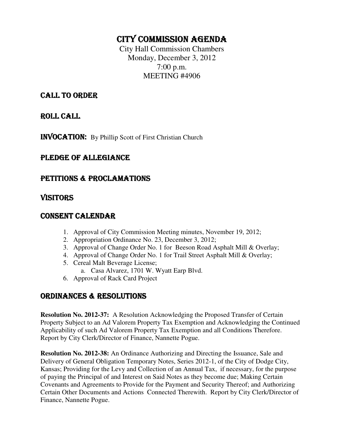# CITY COMMISSION AGENDA

City Hall Commission Chambers Monday, December 3, 2012 7:00 p.m. MEETING #4906

# CALL TO ORDER

ROLL CALL

INVOCATION: By Phillip Scott of First Christian Church

# PLEDGE OF ALLEGIANCE

# PETITIONS & PROCLAMATIONS

# VISITORS

#### CONSENT CALENDAR

- 1. Approval of City Commission Meeting minutes, November 19, 2012;
- 2. Appropriation Ordinance No. 23, December 3, 2012;
- 3. Approval of Change Order No. 1 for Beeson Road Asphalt Mill & Overlay;
- 4. Approval of Change Order No. 1 for Trail Street Asphalt Mill & Overlay;
- 5. Cereal Malt Beverage License;
	- a. Casa Alvarez, 1701 W. Wyatt Earp Blvd.
- 6. Approval of Rack Card Project

# ORDINANCES & RESOLUTIONS

**Resolution No. 2012-37:** A Resolution Acknowledging the Proposed Transfer of Certain Property Subject to an Ad Valorem Property Tax Exemption and Acknowledging the Continued Applicability of such Ad Valorem Property Tax Exemption and all Conditions Therefore. Report by City Clerk/Director of Finance, Nannette Pogue.

**Resolution No. 2012-38:** An Ordinance Authorizing and Directing the Issuance, Sale and Delivery of General Obligation Temporary Notes, Series 2012-1, of the City of Dodge City, Kansas; Providing for the Levy and Collection of an Annual Tax, if necessary, for the purpose of paying the Principal of and Interest on Said Notes as they become due; Making Certain Covenants and Agreements to Provide for the Payment and Security Thereof; and Authorizing Certain Other Documents and Actions Connected Therewith. Report by City Clerk/Director of Finance, Nannette Pogue.